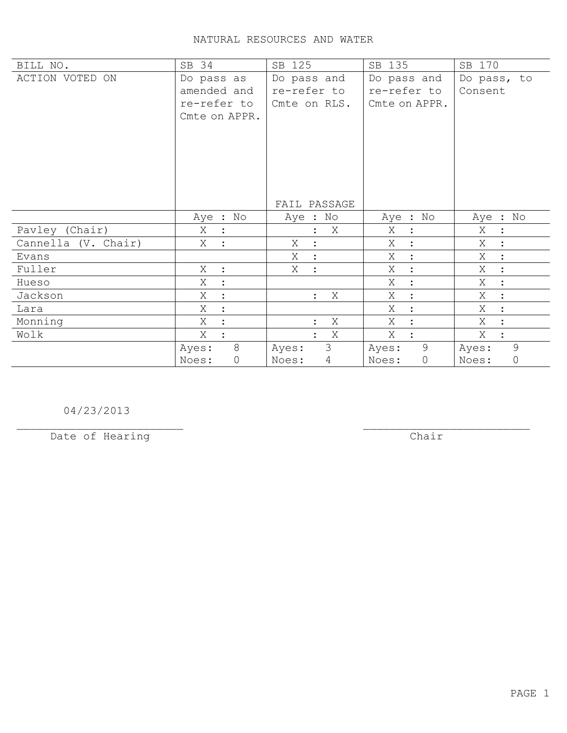| BILL NO.            | SB 34                                                     | SB 125                                     | SB 135                                      | SB 170                 |
|---------------------|-----------------------------------------------------------|--------------------------------------------|---------------------------------------------|------------------------|
| ACTION VOTED ON     | Do pass as<br>amended and<br>re-refer to<br>Cmte on APPR. | Do pass and<br>re-refer to<br>Cmte on RLS. | Do pass and<br>re-refer to<br>Cmte on APPR. | Do pass, to<br>Consent |
|                     |                                                           | FAIL PASSAGE                               |                                             |                        |
|                     | Aye : No                                                  | Aye : No                                   | Aye : No                                    | Aye : No               |
| Pavley (Chair)      | Χ                                                         | Χ                                          | Χ<br>$\ddot{\cdot}$                         | Χ<br>$\ddot{\cdot}$    |
| Cannella (V. Chair) | X                                                         | Χ<br>$\ddot{\cdot}$                        | X                                           | Χ                      |
| Evans               |                                                           | X<br>$\ddot{\cdot}$                        | Χ<br>$\ddot{\cdot}$                         | Χ<br>$\ddot{\cdot}$    |
| Fuller              | Χ<br>$\ddot{\cdot}$                                       | Χ<br>$\ddot{\cdot}$                        | X                                           | X<br>$\ddot{\cdot}$    |
| Hueso               | Χ                                                         |                                            | Χ<br>$\ddot{\cdot}$                         | Χ<br>$\ddot{\cdot}$    |
| Jackson             | X                                                         | Χ<br>$\ddot{\cdot}$                        | Χ                                           | X<br>$\ddot{\cdot}$    |
| Lara                | Χ                                                         |                                            | Χ                                           | X<br>$\ddot{\cdot}$    |
| Monning             | Χ                                                         | X                                          | X                                           | X<br>$\ddot{\cdot}$    |
| Wolk                | X                                                         | X                                          | X                                           | Χ                      |
|                     | 8<br>Ayes:                                                | 3<br>Ayes:                                 | 9<br>Ayes:                                  | 9<br>Ayes:             |
|                     | 0<br>Noes:                                                | $\overline{4}$<br>Noes:                    | $\mathbb O$<br>Noes:                        | $\mathbb O$<br>Noes:   |

04/23/2013

Date of Hearing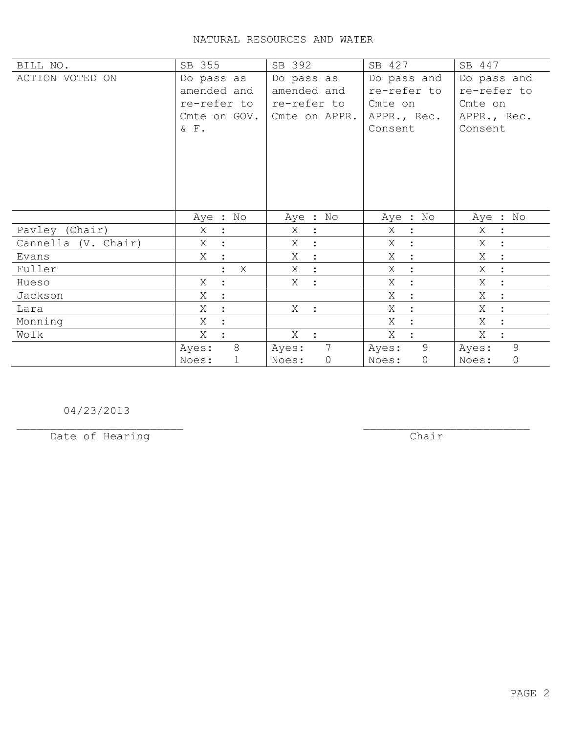| BILL NO.            | SB 355                                                                | SB 392                                                    | SB 427                                                          | SB 447                                                          |
|---------------------|-----------------------------------------------------------------------|-----------------------------------------------------------|-----------------------------------------------------------------|-----------------------------------------------------------------|
| ACTION VOTED ON     | Do pass as<br>amended and<br>re-refer to<br>Cmte on GOV.<br>$&$ $F$ . | Do pass as<br>amended and<br>re-refer to<br>Cmte on APPR. | Do pass and<br>re-refer to<br>Cmte on<br>APPR., Rec.<br>Consent | Do pass and<br>re-refer to<br>Cmte on<br>APPR., Rec.<br>Consent |
|                     | Aye : No                                                              | Aye : No                                                  | Aye : No                                                        | Aye : No                                                        |
| Pavley (Chair)      | Χ                                                                     | Χ                                                         | Χ                                                               | Χ                                                               |
|                     | $\ddot{\cdot}$                                                        | $\ddot{\phantom{1}}$                                      | $\ddot{\cdot}$                                                  | $\ddot{\phantom{1}}$ :                                          |
| Cannella (V. Chair) | Χ                                                                     | Χ<br>$\ddot{\cdot}$                                       | X                                                               | Χ                                                               |
| Evans               | Χ                                                                     | X                                                         | Χ                                                               | Χ                                                               |
|                     | $\ddot{\cdot}$                                                        | $\sim$ 1 $^{\circ}$                                       | $\ddot{\cdot}$                                                  | $\ddot{\cdot}$                                                  |
| Fuller              | X                                                                     | X                                                         | Χ                                                               | Χ                                                               |
|                     | $\ddot{\cdot}$                                                        | $\mathbb{R}^2$                                            | $\ddot{\cdot}$                                                  | $\ddot{\cdot}$                                                  |
| Hueso               | Χ                                                                     | X                                                         | Χ                                                               | Χ                                                               |
|                     | $\ddot{\phantom{a}}$                                                  | $\mathbb{R}^2$                                            | $\ddot{\cdot}$                                                  | $\ddot{\cdot}$                                                  |
| Jackson             | Χ<br>$\cdot$                                                          |                                                           | Χ<br>$\cdot$                                                    | Χ<br>$\ddot{\cdot}$                                             |
| Lara                | X                                                                     | X                                                         | Χ                                                               | X                                                               |
|                     | $\ddot{\cdot}$                                                        | $\sim$ 1.                                                 | $\ddot{\cdot}$                                                  | $\ddot{\cdot}$                                                  |
| Monning             | X                                                                     |                                                           | X<br>$\ddot{\cdot}$                                             | X                                                               |
| Wolk                | Χ                                                                     | $X$ :                                                     | X                                                               | X<br>$\ddot{\cdot}$                                             |
|                     | 8                                                                     | 7                                                         | 9                                                               | 9                                                               |
|                     | Ayes:                                                                 | Ayes:                                                     | Ayes:                                                           | Ayes:                                                           |
|                     | Noes:                                                                 | Noes:                                                     | $\mathsf{O}\xspace$                                             | $\circ$                                                         |
|                     | $\mathbf 1$                                                           | $\circ$                                                   | Noes:                                                           | Noes:                                                           |

04/23/2013

Date of Hearing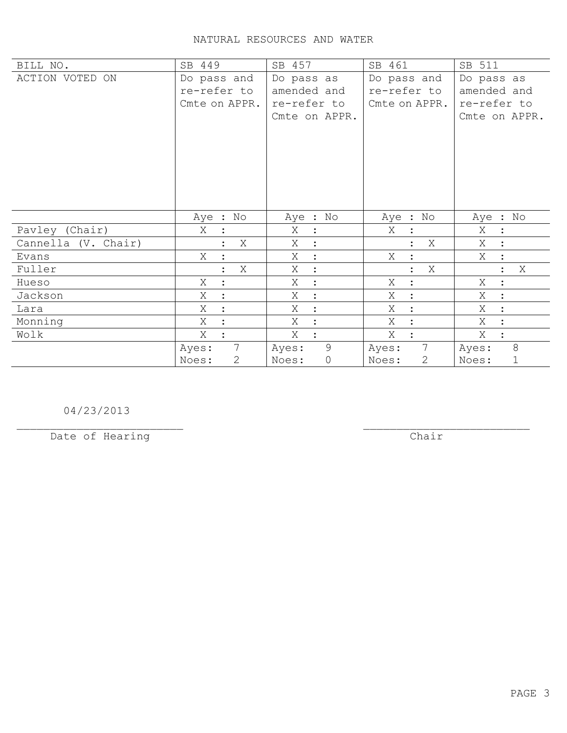| BILL NO.            | SB 449                    | SB 457                    | SB 461                | SB 511                    |
|---------------------|---------------------------|---------------------------|-----------------------|---------------------------|
| ACTION VOTED ON     | Do pass and               | Do pass as                | Do pass and           | Do pass as                |
|                     | re-refer to               | amended and               | re-refer to           | amended and               |
|                     | Cmte on APPR.             | re-refer to               | Cmte on APPR.         | re-refer to               |
|                     |                           | Cmte on APPR.             |                       | Cmte on APPR.             |
|                     |                           |                           |                       |                           |
|                     |                           |                           |                       |                           |
|                     |                           |                           |                       |                           |
|                     |                           |                           |                       |                           |
|                     |                           |                           |                       |                           |
|                     |                           |                           |                       |                           |
|                     | Aye : No                  | Aye : No                  | Aye : No              | Aye : No                  |
| Pavley (Chair)      | Χ                         | Χ<br>$\ddot{\phantom{1}}$ | Χ<br>$\ddot{\cdot}$   | Χ<br>$\ddot{\cdot}$       |
| Cannella (V. Chair) | Χ                         | Χ<br>$\ddot{\cdot}$       | Χ                     | Χ<br>$\ddot{\cdot}$       |
| Evans               | Χ<br>$\ddot{\cdot}$       | X<br>$\ddot{\phantom{a}}$ | Χ<br>$\ddot{\cdot}$   | Χ<br>$\ddot{\cdot}$       |
| Fuller              | Χ<br>$\ddot{\phantom{a}}$ | Χ<br>$\ddot{\cdot}$       | Χ<br>$\ddot{\cdot}$   | Χ<br>$\ddot{\phantom{a}}$ |
| Hueso               | Χ<br>$\ddot{\cdot}$       | Χ<br>$\ddot{\cdot}$       | Χ<br>$\ddot{\cdot}$   | Χ<br>$\ddot{\cdot}$       |
|                     | X<br>$\ddot{\cdot}$       | Χ                         | X                     | X                         |
| Jackson             |                           | $\ddot{\cdot}$            | $\ddot{\cdot}$        | $\ddot{\cdot}$            |
| Lara                | X                         | X<br>$\ddot{\cdot}$       | Χ<br>$\ddot{\cdot}$   | X<br>$\ddot{\cdot}$       |
| Monning             | Χ                         | Χ<br>$\ddot{\cdot}$       | Χ<br>$\ddot{\cdot}$   | Χ<br>$\ddot{\cdot}$       |
| Wolk                | Χ                         | Χ<br>$\ddot{\cdot}$       | Χ                     | Χ<br>$\ddot{\cdot}$       |
|                     | $7\overline{ }$<br>Ayes:  | 9<br>Ayes:                | 7<br>Ayes:            | 8<br>Ayes:                |
|                     | $\mathbf{2}$<br>Noes:     | $\circ$<br>Noes:          | $\mathbf{2}$<br>Noes: | $\mathbf 1$<br>Noes:      |

04/23/2013

Date of Hearing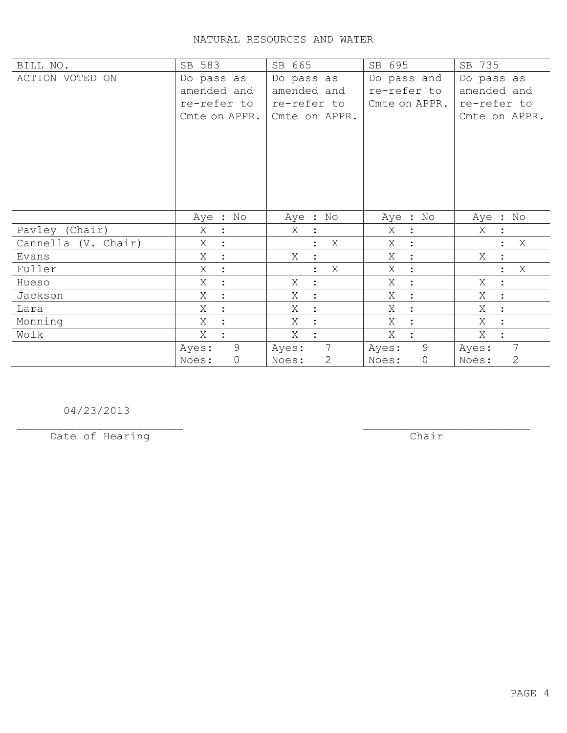| BILL NO.            | SB 583               | SB 665                   | SB 695              | SB 735                  |
|---------------------|----------------------|--------------------------|---------------------|-------------------------|
| ACTION VOTED ON     | Do pass as           | Do pass as               | Do pass and         | Do pass as              |
|                     | amended and          | amended and              | re-refer to         | amended and             |
|                     | re-refer to          | re-refer to              | Cmte on APPR.       | re-refer to             |
|                     | Cmte on APPR.        | Cmte on APPR.            |                     | Cmte on APPR.           |
|                     |                      |                          |                     |                         |
|                     |                      |                          |                     |                         |
|                     |                      |                          |                     |                         |
|                     |                      |                          |                     |                         |
|                     |                      |                          |                     |                         |
|                     |                      |                          |                     |                         |
|                     | Aye : No             | Aye : No                 | Aye : No            | Aye : No                |
| Pavley (Chair)      | Χ<br>$\ddot{\cdot}$  | Χ                        | Χ<br>:              | Χ                       |
| Cannella (V. Chair) | X                    | Χ                        | X<br>$\ddot{\cdot}$ | Χ                       |
| Evans               | X<br>$\ddot{\cdot}$  | Χ                        | Χ<br>$\ddot{\cdot}$ | Χ                       |
| Fuller              | X                    | Χ                        | Χ<br>$\ddot{\cdot}$ | Χ                       |
| Hueso               | Χ<br>$\ddot{\cdot}$  | Χ<br>$\ddot{\cdot}$      | Χ<br>$\ddot{\cdot}$ | Χ<br>$\ddot{\cdot}$     |
| Jackson             | Χ<br>$\ddot{\cdot}$  | Χ<br>$\ddot{\cdot}$      | Χ<br>$\ddot{\cdot}$ | Χ                       |
| Lara                | Χ<br>$\cdot$         | Χ<br>$\cdot$             | Χ<br>$\ddot{\cdot}$ | Χ<br>$\cdot$            |
| Monning             | Χ<br>$\ddot{\cdot}$  | Χ                        | Χ<br>$\ddot{\cdot}$ | Χ                       |
| Wolk                | Χ                    | X                        | X<br>$\cdot$        | Χ                       |
|                     | 9<br>Ayes:           | $7\overline{ }$<br>Ayes: | 9<br>Ayes:          | $\overline{7}$<br>Ayes: |
|                     | $\mathbf 0$<br>Noes: | $\mathbf{2}$<br>Noes:    | 0<br>Noes:          | $\mathbf{2}$<br>Noes:   |

04/23/2013

Date of Hearing